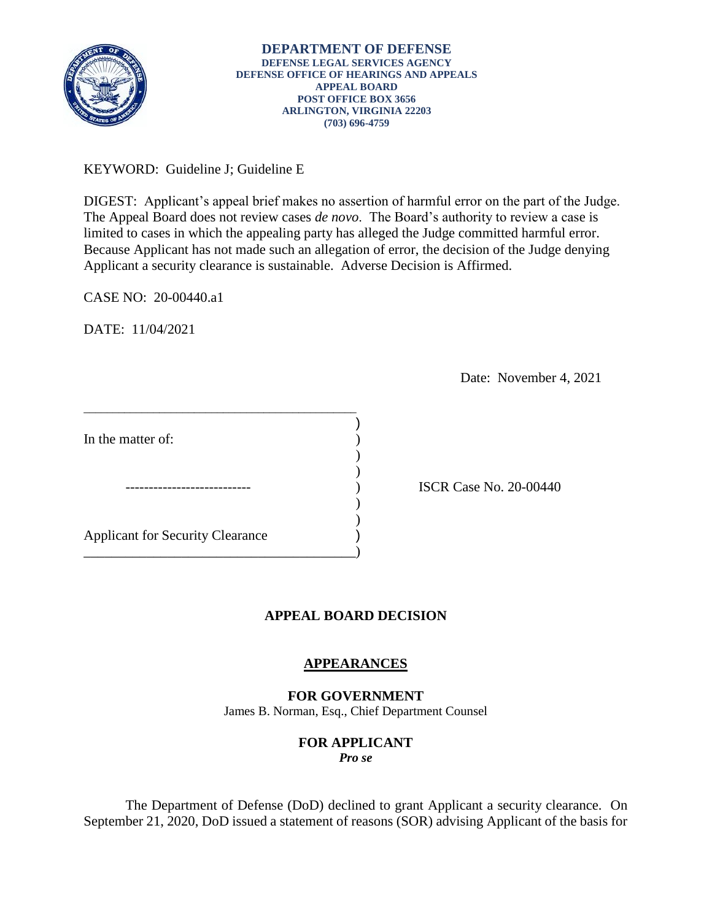

KEYWORD: Guideline J; Guideline E

 Applicant a security clearance is sustainable. Adverse Decision is Affirmed. DIGEST: Applicant's appeal brief makes no assertion of harmful error on the part of the Judge. The Appeal Board does not review cases *de novo*. The Board's authority to review a case is limited to cases in which the appealing party has alleged the Judge committed harmful error. Because Applicant has not made such an allegation of error, the decision of the Judge denying

CASE NO: 20-00440.a1

DATE: 11/04/2021

Date: November 4, 2021

In the matter of:  $\qquad \qquad$  )  $\overline{\phantom{a}}$  $)$ Applicant for Security Clearance ) \_\_\_\_\_\_\_\_\_\_\_\_\_\_\_\_\_\_\_\_\_\_\_\_\_\_\_\_\_\_\_\_\_\_\_\_\_\_\_)

\_\_\_\_\_\_\_\_\_\_\_\_\_\_\_\_\_\_\_\_\_\_\_\_\_\_\_\_\_\_\_\_\_\_\_\_\_\_\_\_\_\_\_\_\_\_\_

) ISCR Case No. 20-00440

# **APPEAL BOARD DECISION**

)

) )

## **APPEARANCES**

## **FOR GOVERNMENT**

James B. Norman, Esq., Chief Department Counsel

## **FOR APPLICANT**

*Pro se* 

 The Department of Defense (DoD) declined to grant Applicant a security clearance. On September 21, 2020, DoD issued a statement of reasons (SOR) advising Applicant of the basis for